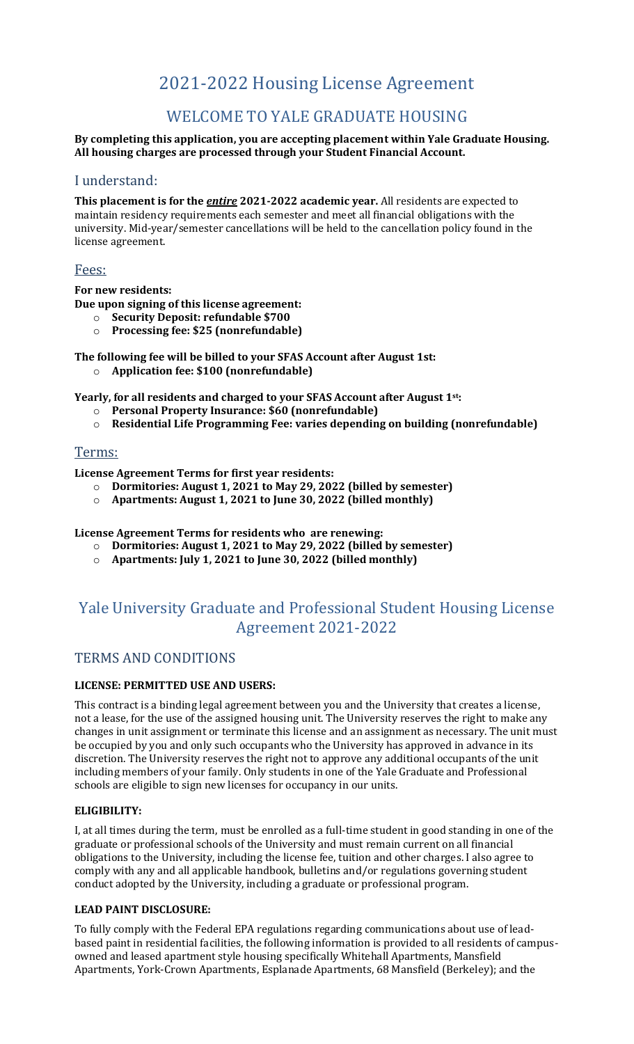# 2021-2022 Housing License Agreement

## WELCOME TO YALE GRADUATE HOUSING

### **By completing this application, you are accepting placement within Yale Graduate Housing. All housing charges are processed through your Student Financial Account.**

## I understand:

**This placement is for the** *entire* **2021-2022 academic year.** All residents are expected to maintain residency requirements each semester and meet all financial obligations with the university. Mid-year/semester cancellations will be held to the cancellation policy found in the license agreement.

## Fees:

**For new residents:**

**Due upon signing of this license agreement:** 

- o **Security Deposit: refundable \$700**
- o **Processing fee: \$25 (nonrefundable)**

**The following fee will be billed to your SFAS Account after August 1st:** 

o **Application fee: \$100 (nonrefundable)**

**Yearly, for all residents and charged to your SFAS Account after August 1st:** 

- o **Personal Property Insurance: \$60 (nonrefundable)**
- o **Residential Life Programming Fee: varies depending on building (nonrefundable)**

## Terms:

**License Agreement Terms for first year residents:**

- o **Dormitories: August 1, 2021 to May 29, 2022 (billed by semester)**
- o **Apartments: August 1, 2021 to June 30, 2022 (billed monthly)**

## **License Agreement Terms for residents who are renewing:**

- o **Dormitories: August 1, 2021 to May 29, 2022 (billed by semester)**
- o **Apartments: July 1, 2021 to June 30, 2022 (billed monthly)**

## Yale University Graduate and Professional Student Housing License Agreement 2021-2022

## TERMS AND CONDITIONS

## **LICENSE: PERMITTED USE AND USERS:**

This contract is a binding legal agreement between you and the University that creates a license, not a lease, for the use of the assigned housing unit. The University reserves the right to make any changes in unit assignment or terminate this license and an assignment as necessary. The unit must be occupied by you and only such occupants who the University has approved in advance in its discretion. The University reserves the right not to approve any additional occupants of the unit including members of your family. Only students in one of the Yale Graduate and Professional schools are eligible to sign new licenses for occupancy in our units.

#### **ELIGIBILITY:**

I, at all times during the term, must be enrolled as a full-time student in good standing in one of the graduate or professional schools of the University and must remain current on all financial obligations to the University, including the license fee, tuition and other charges. I also agree to comply with any and all applicable handbook, bulletins and/or regulations governing student conduct adopted by the University, including a graduate or professional program.

#### **LEAD PAINT DISCLOSURE:**

To fully comply with the Federal EPA regulations regarding communications about use of leadbased paint in residential facilities, the following information is provided to all residents of campusowned and leased apartment style housing specifically Whitehall Apartments, Mansfield Apartments, York-Crown Apartments, Esplanade Apartments, 68 Mansfield (Berkeley); and the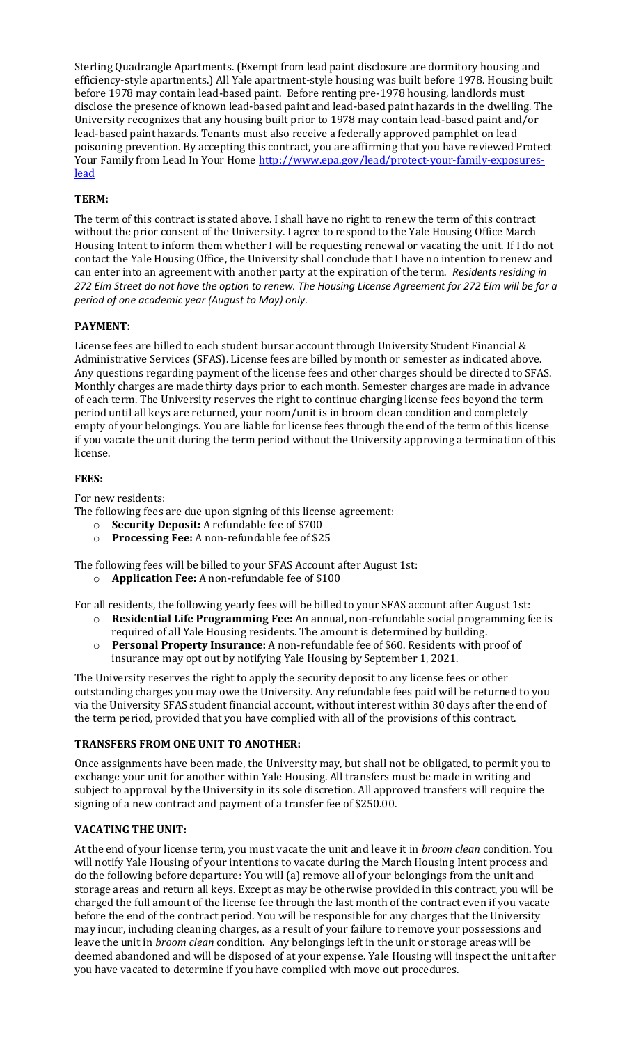Sterling Quadrangle Apartments. (Exempt from lead paint disclosure are dormitory housing and efficiency-style apartments.) All Yale apartment-style housing was built before 1978. Housing built before 1978 may contain lead-based paint. Before renting pre-1978 housing, landlords must disclose the presence of known lead-based paint and lead-based paint hazards in the dwelling. The University recognizes that any housing built prior to 1978 may contain lead-based paint and/or lead-based paint hazards. Tenants must also receive a federally approved pamphlet on lead poisoning prevention. By accepting this contract, you are affirming that you have reviewed Protect Your Family from Lead In Your Hom[e http://www.epa.gov/lead/protect-your-family-exposures](http://www.epa.gov/lead/protect-your-family-exposures-lead)[lead](http://www.epa.gov/lead/protect-your-family-exposures-lead)

## **TERM:**

The term of this contract is stated above. I shall have no right to renew the term of this contract without the prior consent of the University. I agree to respond to the Yale Housing Office March Housing Intent to inform them whether I will be requesting renewal or vacating the unit. If I do not contact the Yale Housing Office, the University shall conclude that I have no intention to renew and can enter into an agreement with another party at the expiration of the term. *Residents residing in 272 Elm Street do not have the option to renew. The Housing License Agreement for 272 Elm will be for a period of one academic year (August to May) only.*

## **PAYMENT:**

License fees are billed to each student bursar account through University Student Financial & Administrative Services (SFAS). License fees are billed by month or semester as indicated above. Any questions regarding payment of the license fees and other charges should be directed to SFAS. Monthly charges are made thirty days prior to each month. Semester charges are made in advance of each term. The University reserves the right to continue charging license fees beyond the term period until all keys are returned, your room/unit is in broom clean condition and completely empty of your belongings. You are liable for license fees through the end of the term of this license if you vacate the unit during the term period without the University approving a termination of this license.

## **FEES:**

For new residents:

The following fees are due upon signing of this license agreement:

- o **Security Deposit:** A refundable fee of \$700
- o **Processing Fee:** A non-refundable fee of \$25

The following fees will be billed to your SFAS Account after August 1st:

o **Application Fee:** A non-refundable fee of \$100

For all residents, the following yearly fees will be billed to your SFAS account after August 1st:

- o **Residential Life Programming Fee:** An annual, non-refundable social programming fee is required of all Yale Housing residents. The amount is determined by building.
- o **Personal Property Insurance:** A non-refundable fee of \$60. Residents with proof of insurance may opt out by notifying Yale Housing by September 1, 2021.

The University reserves the right to apply the security deposit to any license fees or other outstanding charges you may owe the University. Any refundable fees paid will be returned to you via the University SFAS student financial account, without interest within 30 days after the end of the term period, provided that you have complied with all of the provisions of this contract.

## **TRANSFERS FROM ONE UNIT TO ANOTHER:**

Once assignments have been made, the University may, but shall not be obligated, to permit you to exchange your unit for another within Yale Housing. All transfers must be made in writing and subject to approval by the University in its sole discretion. All approved transfers will require the signing of a new contract and payment of a transfer fee of \$250.00.

## **VACATING THE UNIT:**

At the end of your license term, you must vacate the unit and leave it in *broom clean* condition. You will notify Yale Housing of your intentions to vacate during the March Housing Intent process and do the following before departure: You will (a) remove all of your belongings from the unit and storage areas and return all keys. Except as may be otherwise provided in this contract, you will be charged the full amount of the license fee through the last month of the contract even if you vacate before the end of the contract period. You will be responsible for any charges that the University may incur, including cleaning charges, as a result of your failure to remove your possessions and leave the unit in *broom clean* condition. Any belongings left in the unit or storage areas will be deemed abandoned and will be disposed of at your expense. Yale Housing will inspect the unit after you have vacated to determine if you have complied with move out procedures.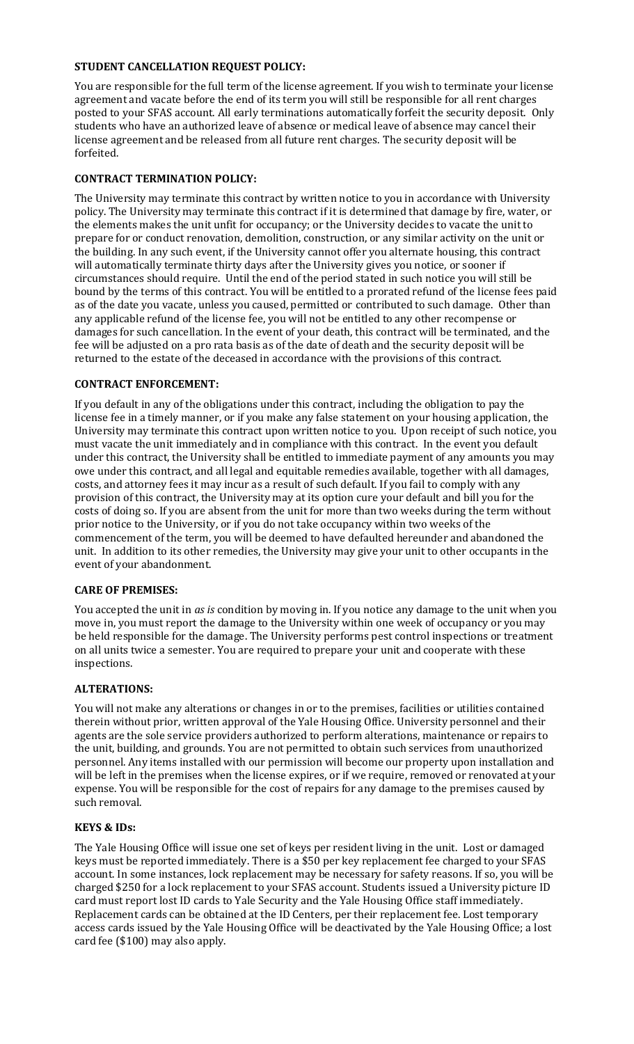## **STUDENT CANCELLATION REQUEST POLICY:**

You are responsible for the full term of the license agreement. If you wish to terminate your license agreement and vacate before the end of its term you will still be responsible for all rent charges posted to your SFAS account. All early terminations automatically forfeit the security deposit. Only students who have an authorized leave of absence or medical leave of absence may cancel their license agreement and be released from all future rent charges. The security deposit will be forfeited.

## **CONTRACT TERMINATION POLICY:**

The University may terminate this contract by written notice to you in accordance with University policy. The University may terminate this contract if it is determined that damage by fire, water, or the elements makes the unit unfit for occupancy; or the University decides to vacate the unit to prepare for or conduct renovation, demolition, construction, or any similar activity on the unit or the building. In any such event, if the University cannot offer you alternate housing, this contract will automatically terminate thirty days after the University gives you notice, or sooner if circumstances should require. Until the end of the period stated in such notice you will still be bound by the terms of this contract. You will be entitled to a prorated refund of the license fees paid as of the date you vacate, unless you caused, permitted or contributed to such damage. Other than any applicable refund of the license fee, you will not be entitled to any other recompense or damages for such cancellation. In the event of your death, this contract will be terminated, and the fee will be adjusted on a pro rata basis as of the date of death and the security deposit will be returned to the estate of the deceased in accordance with the provisions of this contract.

## **CONTRACT ENFORCEMENT:**

If you default in any of the obligations under this contract, including the obligation to pay the license fee in a timely manner, or if you make any false statement on your housing application, the University may terminate this contract upon written notice to you. Upon receipt of such notice, you must vacate the unit immediately and in compliance with this contract. In the event you default under this contract, the University shall be entitled to immediate payment of any amounts you may owe under this contract, and all legal and equitable remedies available, together with all damages, costs, and attorney fees it may incur as a result of such default. If you fail to comply with any provision of this contract, the University may at its option cure your default and bill you for the costs of doing so. If you are absent from the unit for more than two weeks during the term without prior notice to the University, or if you do not take occupancy within two weeks of the commencement of the term, you will be deemed to have defaulted hereunder and abandoned the unit. In addition to its other remedies, the University may give your unit to other occupants in the event of your abandonment.

## **CARE OF PREMISES:**

You accepted the unit in *as is* condition by moving in. If you notice any damage to the unit when you move in, you must report the damage to the University within one week of occupancy or you may be held responsible for the damage. The University performs pest control inspections or treatment on all units twice a semester. You are required to prepare your unit and cooperate with these inspections.

## **ALTERATIONS:**

You will not make any alterations or changes in or to the premises, facilities or utilities contained therein without prior, written approval of the Yale Housing Office. University personnel and their agents are the sole service providers authorized to perform alterations, maintenance or repairs to the unit, building, and grounds. You are not permitted to obtain such services from unauthorized personnel. Any items installed with our permission will become our property upon installation and will be left in the premises when the license expires, or if we require, removed or renovated at your expense. You will be responsible for the cost of repairs for any damage to the premises caused by such removal.

## **KEYS & IDs:**

The Yale Housing Office will issue one set of keys per resident living in the unit. Lost or damaged keys must be reported immediately. There is a \$50 per key replacement fee charged to your SFAS account. In some instances, lock replacement may be necessary for safety reasons. If so, you will be charged \$250 for a lock replacement to your SFAS account. Students issued a University picture ID card must report lost ID cards to Yale Security and the Yale Housing Office staff immediately. Replacement cards can be obtained at the ID Centers, per their replacement fee. Lost temporary access cards issued by the Yale Housing Office will be deactivated by the Yale Housing Office; a lost card fee (\$100) may also apply.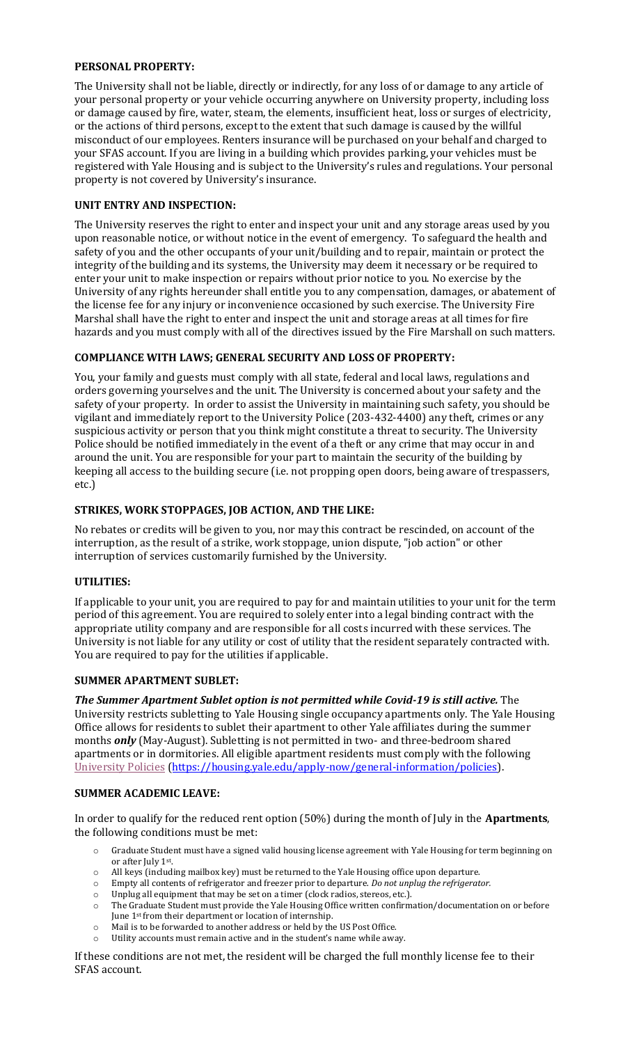#### **PERSONAL PROPERTY:**

The University shall not be liable, directly or indirectly, for any loss of or damage to any article of your personal property or your vehicle occurring anywhere on University property, including loss or damage caused by fire, water, steam, the elements, insufficient heat, loss or surges of electricity, or the actions of third persons, except to the extent that such damage is caused by the willful misconduct of our employees. Renters insurance will be purchased on your behalf and charged to your SFAS account. If you are living in a building which provides parking, your vehicles must be registered with Yale Housing and is subject to the University's rules and regulations. Your personal property is not covered by University's insurance.

## **UNIT ENTRY AND INSPECTION:**

The University reserves the right to enter and inspect your unit and any storage areas used by you upon reasonable notice, or without notice in the event of emergency. To safeguard the health and safety of you and the other occupants of your unit/building and to repair, maintain or protect the integrity of the building and its systems, the University may deem it necessary or be required to enter your unit to make inspection or repairs without prior notice to you. No exercise by the University of any rights hereunder shall entitle you to any compensation, damages, or abatement of the license fee for any injury or inconvenience occasioned by such exercise. The University Fire Marshal shall have the right to enter and inspect the unit and storage areas at all times for fire hazards and you must comply with all of the directives issued by the Fire Marshall on such matters.

## **COMPLIANCE WITH LAWS; GENERAL SECURITY AND LOSS OF PROPERTY:**

You, your family and guests must comply with all state, federal and local laws, regulations and orders governing yourselves and the unit. The University is concerned about your safety and the safety of your property. In order to assist the University in maintaining such safety, you should be vigilant and immediately report to the University Police (203-432-4400) any theft, crimes or any suspicious activity or person that you think might constitute a threat to security. The University Police should be notified immediately in the event of a theft or any crime that may occur in and around the unit. You are responsible for your part to maintain the security of the building by keeping all access to the building secure (i.e. not propping open doors, being aware of trespassers, etc.)

#### **STRIKES, WORK STOPPAGES, JOB ACTION, AND THE LIKE:**

No rebates or credits will be given to you, nor may this contract be rescinded, on account of the interruption, as the result of a strike, work stoppage, union dispute, "job action" or other interruption of services customarily furnished by the University.

#### **UTILITIES:**

If applicable to your unit, you are required to pay for and maintain utilities to your unit for the term period of this agreement. You are required to solely enter into a legal binding contract with the appropriate utility company and are responsible for all costs incurred with these services. The University is not liable for any utility or cost of utility that the resident separately contracted with. You are required to pay for the utilities if applicable.

#### **SUMMER APARTMENT SUBLET:**

*The Summer Apartment Sublet option is not permitted while Covid-19 is still active.* The University restricts subletting to Yale Housing single occupancy apartments only. The Yale Housing Office allows for residents to sublet their apartment to other Yale affiliates during the summer months *only* (May-August). Subletting is not permitted in two- and three-bedroom shared apartments or in dormitories. All eligible apartment residents must comply with the following [University Policies](https://housing.yale.edu/apply-now/general-information/policies) [\(https://housing.yale.edu/apply-now/general-information/policies\)](https://housing.yale.edu/apply-now/general-information/policies).

#### **SUMMER ACADEMIC LEAVE:**

In order to qualify for the reduced rent option (50%) during the month of July in the **Apartments**, the following conditions must be met:

- o Graduate Student must have a signed valid housing license agreement with Yale Housing for term beginning on or after July 1st .
- o All keys (including mailbox key) must be returned to the Yale Housing office upon departure.
- o Empty all contents of refrigerator and freezer prior to departure. *Do not unplug the refrigerator.*
- o Unplug all equipment that may be set on a timer (clock radios, stereos, etc.).
- o The Graduate Student must provide the Yale Housing Office written confirmation/documentation on or before June 1st from their department or location of internship.
- o Mail is to be forwarded to another address or held by the US Post Office.
- o Utility accounts must remain active and in the student's name while away.

If these conditions are not met, the resident will be charged the full monthly license fee to their SFAS account.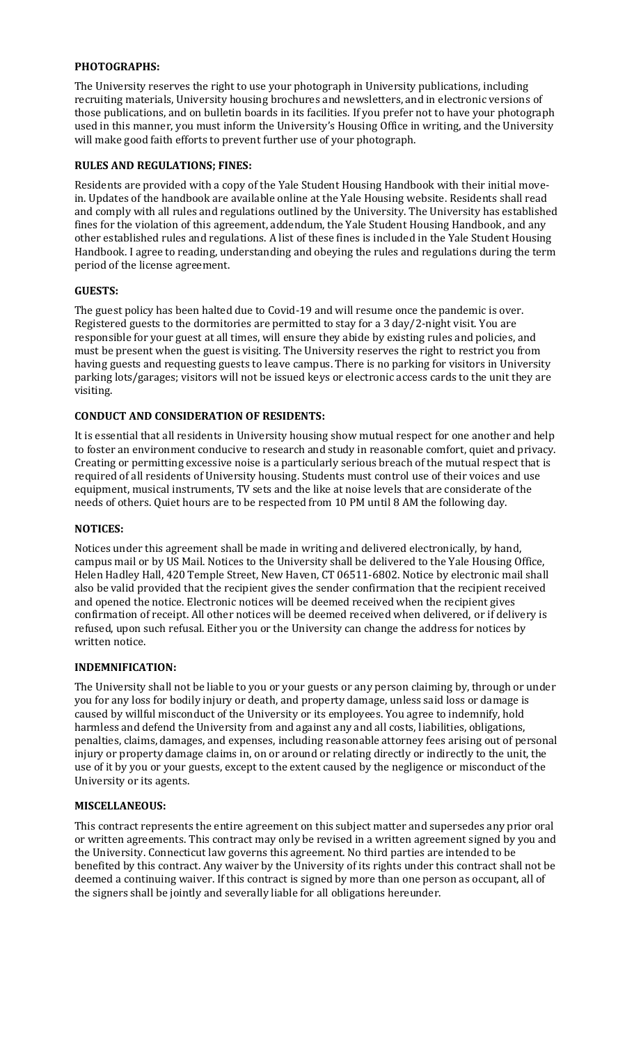### **PHOTOGRAPHS:**

The University reserves the right to use your photograph in University publications, including recruiting materials, University housing brochures and newsletters, and in electronic versions of those publications, and on bulletin boards in its facilities. If you prefer not to have your photograph used in this manner, you must inform the University's Housing Office in writing, and the University will make good faith efforts to prevent further use of your photograph.

#### **RULES AND REGULATIONS; FINES:**

Residents are provided with a copy of the Yale Student Housing Handbook with their initial movein. Updates of the handbook are available online at the Yale Housing website. Residents shall read and comply with all rules and regulations outlined by the University. The University has established fines for the violation of this agreement, addendum, the Yale Student Housing Handbook, and any other established rules and regulations. A list of these fines is included in the Yale Student Housing Handbook. I agree to reading, understanding and obeying the rules and regulations during the term period of the license agreement.

#### **GUESTS:**

The guest policy has been halted due to Covid-19 and will resume once the pandemic is over. Registered guests to the dormitories are permitted to stay for a 3 day/2-night visit. You are responsible for your guest at all times, will ensure they abide by existing rules and policies, and must be present when the guest is visiting. The University reserves the right to restrict you from having guests and requesting guests to leave campus. There is no parking for visitors in University parking lots/garages; visitors will not be issued keys or electronic access cards to the unit they are visiting.

#### **CONDUCT AND CONSIDERATION OF RESIDENTS:**

It is essential that all residents in University housing show mutual respect for one another and help to foster an environment conducive to research and study in reasonable comfort, quiet and privacy. Creating or permitting excessive noise is a particularly serious breach of the mutual respect that is required of all residents of University housing. Students must control use of their voices and use equipment, musical instruments, TV sets and the like at noise levels that are considerate of the needs of others. Quiet hours are to be respected from 10 PM until 8 AM the following day.

#### **NOTICES:**

Notices under this agreement shall be made in writing and delivered electronically, by hand, campus mail or by US Mail. Notices to the University shall be delivered to the Yale Housing Office, Helen Hadley Hall, 420 Temple Street, New Haven, CT 06511-6802. Notice by electronic mail shall also be valid provided that the recipient gives the sender confirmation that the recipient received and opened the notice. Electronic notices will be deemed received when the recipient gives confirmation of receipt. All other notices will be deemed received when delivered, or if delivery is refused, upon such refusal. Either you or the University can change the address for notices by written notice.

#### **INDEMNIFICATION:**

The University shall not be liable to you or your guests or any person claiming by, through or under you for any loss for bodily injury or death, and property damage, unless said loss or damage is caused by willful misconduct of the University or its employees. You agree to indemnify, hold harmless and defend the University from and against any and all costs, liabilities, obligations, penalties, claims, damages, and expenses, including reasonable attorney fees arising out of personal injury or property damage claims in, on or around or relating directly or indirectly to the unit, the use of it by you or your guests, except to the extent caused by the negligence or misconduct of the University or its agents.

## **MISCELLANEOUS:**

This contract represents the entire agreement on this subject matter and supersedes any prior oral or written agreements. This contract may only be revised in a written agreement signed by you and the University. Connecticut law governs this agreement. No third parties are intended to be benefited by this contract. Any waiver by the University of its rights under this contract shall not be deemed a continuing waiver. If this contract is signed by more than one person as occupant, all of the signers shall be jointly and severally liable for all obligations hereunder.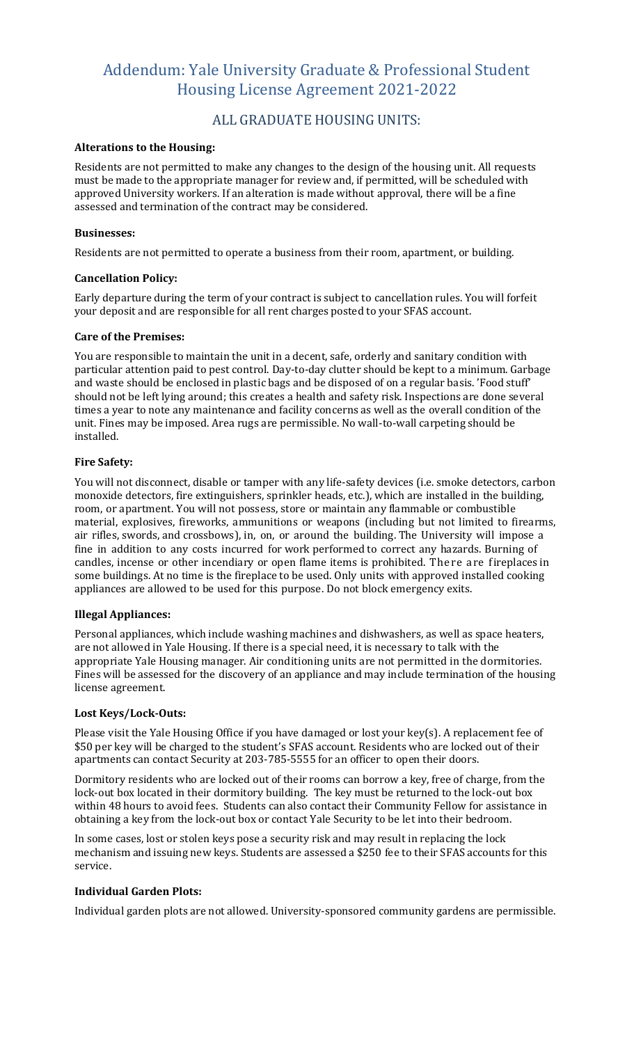## Addendum: Yale University Graduate & Professional Student Housing License Agreement 2021-2022

## ALL GRADUATE HOUSING UNITS:

## **Alterations to the Housing:**

Residents are not permitted to make any changes to the design of the housing unit. All requests must be made to the appropriate manager for review and, if permitted, will be scheduled with approved University workers. If an alteration is made without approval, there will be a fine assessed and termination of the contract may be considered.

### **Businesses:**

Residents are not permitted to operate a business from their room, apartment, or building.

## **Cancellation Policy:**

Early departure during the term of your contract is subject to cancellation rules. You will forfeit your deposit and are responsible for all rent charges posted to your SFAS account.

## **Care of the Premises:**

You are responsible to maintain the unit in a decent, safe, orderly and sanitary condition with particular attention paid to pest control. Day-to-day clutter should be kept to a minimum. Garbage and waste should be enclosed in plastic bags and be disposed of on a regular basis. 'Food stuff' should not be left lying around; this creates a health and safety risk. Inspections are done several times a year to note any maintenance and facility concerns as well as the overall condition of the unit. Fines may be imposed. Area rugs are permissible. No wall-to-wall carpeting should be installed.

#### **Fire Safety:**

You will not disconnect, disable or tamper with any life-safety devices (i.e. smoke detectors, carbon monoxide detectors, fire extinguishers, sprinkler heads, etc.), which are installed in the building, room, or apartment. You will not possess, store or maintain any flammable or combustible material, explosives, fireworks, ammunitions or weapons (including but not limited to firearms, air rifles, swords, and crossbows), in, on, or around the building. The University will impose a fine in addition to any costs incurred for work performed to correct any hazards. Burning of candles, incense or other incendiary or open flame items is prohibited. There are fireplaces in some buildings. At no time is the fireplace to be used. Only units with approved installed cooking appliances are allowed to be used for this purpose. Do not block emergency exits.

## **Illegal Appliances:**

Personal appliances, which include washing machines and dishwashers, as well as space heaters, are not allowed in Yale Housing. If there is a special need, it is necessary to talk with the appropriate Yale Housing manager. Air conditioning units are not permitted in the dormitories. Fines will be assessed for the discovery of an appliance and may include termination of the housing license agreement.

#### **Lost Keys/Lock-Outs:**

Please visit the Yale Housing Office if you have damaged or lost your key(s). A replacement fee of \$50 per key will be charged to the student's SFAS account. Residents who are locked out of their apartments can contact Security at 203-785-5555 for an officer to open their doors.

Dormitory residents who are locked out of their rooms can borrow a key, free of charge, from the lock-out box located in their dormitory building. The key must be returned to the lock-out box within 48 hours to avoid fees. Students can also contact their Community Fellow for assistance in obtaining a key from the lock-out box or contact Yale Security to be let into their bedroom.

In some cases, lost or stolen keys pose a security risk and may result in replacing the lock mechanism and issuing new keys. Students are assessed a \$250 fee to their SFAS accounts for this service.

## **Individual Garden Plots:**

Individual garden plots are not allowed. University-sponsored community gardens are permissible.